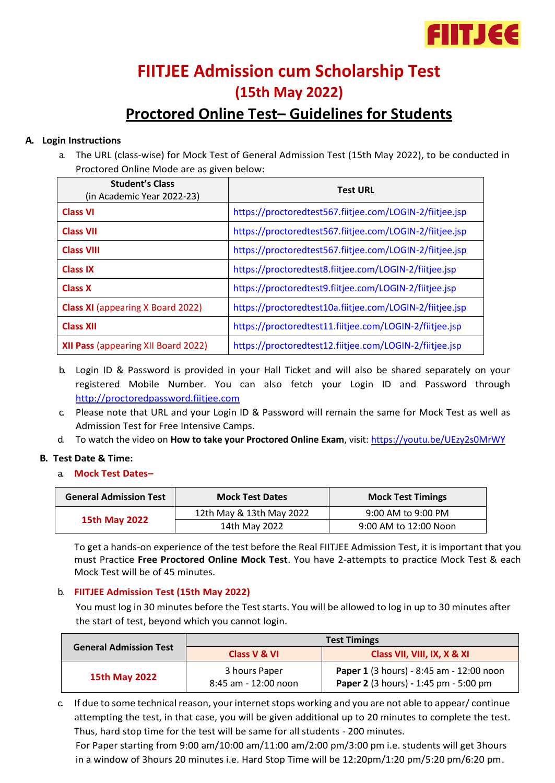

# **FIITJEE Admission cum Scholarship Test (15th May 2022)**

# **Proctored Online Test– Guidelines for Students**

#### **A. Login Instructions**

a. The URL (class-wise) for Mock Test of General Admission Test (15th May 2022), to be conducted in Proctored Online Mode are as given below:

| <b>Student's Class</b><br>(in Academic Year 2022-23) | <b>Test URL</b>                                          |
|------------------------------------------------------|----------------------------------------------------------|
| <b>Class VI</b>                                      | https://proctoredtest567.fiitjee.com/LOGIN-2/fiitjee.jsp |
| <b>Class VII</b>                                     | https://proctoredtest567.fiitjee.com/LOGIN-2/fiitjee.jsp |
| <b>Class VIII</b>                                    | https://proctoredtest567.fiitjee.com/LOGIN-2/fiitjee.jsp |
| <b>Class IX</b>                                      | https://proctoredtest8.fiitjee.com/LOGIN-2/fiitjee.jsp   |
| <b>Class X</b>                                       | https://proctoredtest9.fiitjee.com/LOGIN-2/fiitjee.jsp   |
| <b>Class XI</b> (appearing X Board 2022)             | https://proctoredtest10a.fiitjee.com/LOGIN-2/fiitjee.jsp |
| <b>Class XII</b>                                     | https://proctoredtest11.fiitjee.com/LOGIN-2/fiitjee.jsp  |
| XII Pass (appearing XII Board 2022)                  | https://proctoredtest12.fiitjee.com/LOGIN-2/fiitjee.jsp  |

- b. Login ID & Password is provided in your Hall Ticket and will also be shared separately on your registered Mobile Number. You can also fetch your Login ID and Password through [http://proctoredpassword.fiitjee.com](http://proctoredpassword.fiitjee.com/)
- c. Please note that URL and your Login ID & Password will remain the same for Mock Test as well as Admission Test for Free Intensive Camps.
- d. To watch the video on **How to take your Proctored Online Exam**, visit:<https://youtu.be/UEzy2s0MrWY>

#### **B. Test Date & Time:**

a. **Mock Test Dates–**

| <b>General Admission Test</b> | <b>Mock Test Dates</b>   | <b>Mock Test Timings</b> |
|-------------------------------|--------------------------|--------------------------|
| <b>15th May 2022</b>          | 12th May & 13th May 2022 | $9:00$ AM to $9:00$ PM   |
|                               | 14th May 2022            | 9:00 AM to 12:00 Noon    |

To get a hands-on experience of the test before the Real FIITJEE Admission Test, it is important that you must Practice **Free Proctored Online Mock Test**. You have 2-attempts to practice Mock Test & each Mock Test will be of 45 minutes.

#### b. **FIITJEE Admission Test (15th May 2022)**

You must log in 30 minutes before the Test starts. You will be allowed to log in up to 30 minutes after the start of test, beyond which you cannot login.

| <b>General Admission Test</b> | <b>Test Timings</b>                   |                                                                                   |  |
|-------------------------------|---------------------------------------|-----------------------------------------------------------------------------------|--|
|                               | Class V & VI                          | Class VII, VIII, IX, X & XI                                                       |  |
| 15th May 2022                 | 3 hours Paper<br>8:45 am - 12:00 noon | Paper 1 (3 hours) - 8:45 am - 12:00 noon<br>Paper 2 (3 hours) - 1:45 pm - 5:00 pm |  |

c. If due to some technical reason, your internet stops working and you are not able to appear/ continue attempting the test, in that case, you will be given additional up to 20 minutes to complete the test. Thus, hard stop time for the test will be same for all students - 200 minutes.

For Paper starting from 9:00 am/10:00 am/11:00 am/2:00 pm/3:00 pm i.e. students will get 3hours in a window of 3hours 20 minutes i.e. Hard Stop Time will be 12:20pm/1:20 pm/5:20 pm/6:20 pm.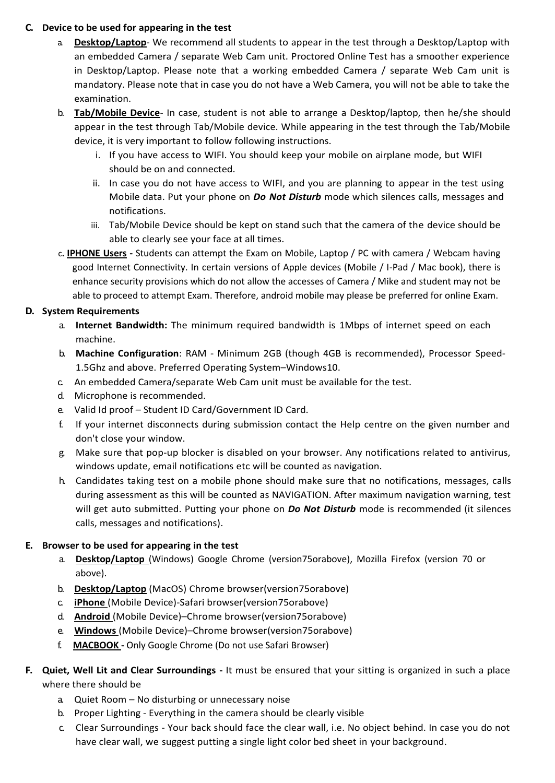#### **C. Device to be used for appearing in the test**

- a. **Desktop/Laptop** We recommend all students to appear in the test through a Desktop/Laptop with an embedded Camera / separate Web Cam unit. Proctored Online Test has a smoother experience in Desktop/Laptop. Please note that a working embedded Camera / separate Web Cam unit is mandatory. Please note that in case you do not have a Web Camera, you will not be able to take the examination.
- b. **Tab/Mobile Device** In case, student is not able to arrange a Desktop/laptop, then he/she should appear in the test through Tab/Mobile device. While appearing in the test through the Tab/Mobile device, it is very important to follow following instructions.
	- i. If you have access to WIFI. You should keep your mobile on airplane mode, but WIFI should be on and connected.
	- ii. In case you do not have access to WIFI, and you are planning to appear in the test using Mobile data. Put your phone on *Do Not Disturb* mode which silences calls, messages and notifications.
	- iii. Tab/Mobile Device should be kept on stand such that the camera of the device should be able to clearly see your face at all times.
- c**. IPHONE Users -** Students can attempt the Exam on Mobile, Laptop / PC with camera / Webcam having good Internet Connectivity. In certain versions of Apple devices (Mobile / I-Pad / Mac book), there is enhance security provisions which do not allow the accesses of Camera / Mike and student may not be able to proceed to attempt Exam. Therefore, android mobile may please be preferred for online Exam.

## **D. System Requirements**

- a. **Internet Bandwidth:** The minimum required bandwidth is 1Mbps of internet speed on each machine.
- b. **Machine Configuration**: RAM Minimum 2GB (though 4GB is recommended), Processor Speed-1.5Ghz and above. Preferred Operating System–Windows10.
- c. An embedded Camera/separate Web Cam unit must be available for the test.
- d. Microphone is recommended.
- e. Valid Id proof Student ID Card/Government ID Card.
- f. If your internet disconnects during submission contact the Help centre on the given number and don't close your window.
- g. Make sure that pop-up blocker is disabled on your browser. Any notifications related to antivirus, windows update, email notifications etc will be counted as navigation.
- h. Candidates taking test on a mobile phone should make sure that no notifications, messages, calls during assessment as this will be counted as NAVIGATION. After maximum navigation warning, test will get auto submitted. Putting your phone on *Do Not Disturb* mode is recommended (it silences calls, messages and notifications).

## **E. Browser to be used for appearing in the test**

- a. **Desktop/Laptop** (Windows) Google Chrome (version75orabove), Mozilla Firefox (version 70 or above).
- b. **Desktop/Laptop** (MacOS) Chrome browser(version75orabove)
- c. **iPhone** (Mobile Device)-Safari browser(version75orabove)
- d. **Android** (Mobile Device)–Chrome browser(version75orabove)
- e. **Windows** (Mobile Device)–Chrome browser(version75orabove)
- f. **MACBOOK -** Only Google Chrome (Do not use Safari Browser)
- **F. Quiet, Well Lit and Clear Surroundings -** It must be ensured that your sitting is organized in such a place where there should be
	- a. Quiet Room No disturbing or unnecessary noise
	- b. Proper Lighting Everything in the camera should be clearly visible
	- c. Clear Surroundings Your back should face the clear wall, i.e. No object behind. In case you do not have clear wall, we suggest putting a single light color bed sheet in your background.